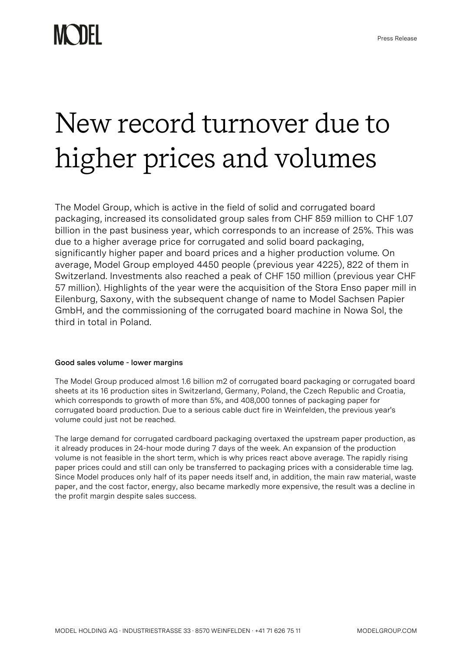## New record turnover due to higher prices and volumes

The Model Group, which is active in the field of solid and corrugated board packaging, increased its consolidated group sales from CHF 859 million to CHF 1.07 billion in the past business year, which corresponds to an increase of 25%. This was due to a higher average price for corrugated and solid board packaging, significantly higher paper and board prices and a higher production volume. On average, Model Group employed 4450 people (previous year 4225), 822 of them in Switzerland. Investments also reached a peak of CHF 150 million (previous year CHF 57 million). Highlights of the year were the acquisition of the Stora Enso paper mill in Eilenburg, Saxony, with the subsequent change of name to Model Sachsen Papier GmbH, and the commissioning of the corrugated board machine in Nowa Sol, the third in total in Poland.

## **Good sales volume - lower margins**

The Model Group produced almost 1.6 billion m2 of corrugated board packaging or corrugated board sheets at its 16 production sites in Switzerland, Germany, Poland, the Czech Republic and Croatia, which corresponds to growth of more than 5%, and 408,000 tonnes of packaging paper for corrugated board production. Due to a serious cable duct fire in Weinfelden, the previous year's volume could just not be reached.

The large demand for corrugated cardboard packaging overtaxed the upstream paper production, as it already produces in 24-hour mode during 7 days of the week. An expansion of the production volume is not feasible in the short term, which is why prices react above average. The rapidly rising paper prices could and still can only be transferred to packaging prices with a considerable time lag. Since Model produces only half of its paper needs itself and, in addition, the main raw material, waste paper, and the cost factor, energy, also became markedly more expensive, the result was a decline in the profit margin despite sales success.